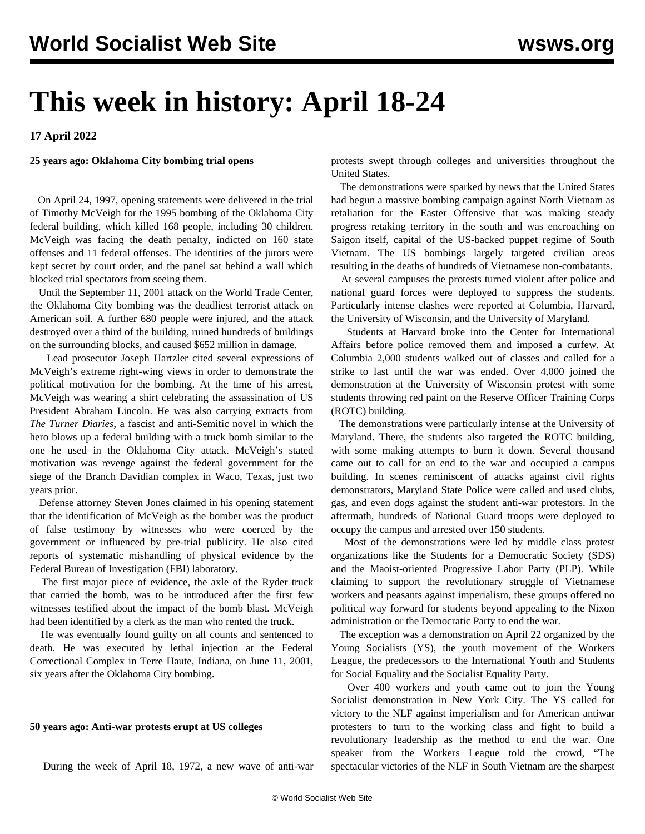# **This week in history: April 18-24**

**17 April 2022**

#### **25 years ago: Oklahoma City bombing trial opens**

 On April 24, 1997, opening statements were delivered in the trial of Timothy McVeigh for the 1995 bombing of the Oklahoma City federal building, which killed 168 people, including 30 children. McVeigh was facing the death penalty, indicted on 160 state offenses and 11 federal offenses. The identities of the jurors were kept secret by court order, and the panel sat behind a wall which blocked trial spectators from seeing them.

 Until the September 11, 2001 attack on the World Trade Center, the Oklahoma City bombing was the deadliest terrorist attack on American soil. A further 680 people were injured, and the attack destroyed over a third of the building, ruined hundreds of buildings on the surrounding blocks, and caused \$652 million in damage.

 Lead prosecutor Joseph Hartzler cited several expressions of McVeigh's extreme right-wing views in order to demonstrate the political motivation for the bombing. At the time of his arrest, McVeigh was wearing a shirt celebrating the assassination of US President Abraham Lincoln. He was also carrying extracts from *The Turner Diaries*, a fascist and anti-Semitic novel in which the hero blows up a federal building with a truck bomb similar to the one he used in the Oklahoma City attack. McVeigh's stated motivation was revenge against the federal government for the siege of the Branch Davidian complex in Waco, Texas, just two years prior.

 Defense attorney Steven Jones claimed in his opening statement that the identification of McVeigh as the bomber was the product of false testimony by witnesses who were coerced by the government or influenced by pre-trial publicity. He also cited reports of systematic mishandling of physical evidence by the Federal Bureau of Investigation (FBI) laboratory.

 The first major piece of evidence, the axle of the Ryder truck that carried the bomb, was to be introduced after the first few witnesses testified about the impact of the bomb blast. McVeigh had been identified by a clerk as the man who rented the truck.

 He was eventually found guilty on all counts and sentenced to death. He was executed by lethal injection at the Federal Correctional Complex in Terre Haute, Indiana, on June 11, 2001, six years after the Oklahoma City bombing.

### **50 years ago: Anti-war protests erupt at US colleges**

During the week of April 18, 1972, a new wave of anti-war

protests swept through colleges and universities throughout the United States.

 The demonstrations were sparked by news that the United States had begun a massive bombing campaign against North Vietnam as retaliation for the Easter Offensive that was making steady progress retaking territory in the south and was encroaching on Saigon itself, capital of the US-backed puppet regime of South Vietnam. The US bombings largely targeted civilian areas resulting in the deaths of hundreds of Vietnamese non-combatants.

 At several campuses the protests turned violent after police and national guard forces were deployed to suppress the students. Particularly intense clashes were reported at Columbia, Harvard, the University of Wisconsin, and the University of Maryland.

 Students at Harvard broke into the Center for International Affairs before police removed them and imposed a curfew. At Columbia 2,000 students walked out of classes and called for a strike to last until the war was ended. Over 4,000 joined the demonstration at the University of Wisconsin protest with some students throwing red paint on the Reserve Officer Training Corps (ROTC) building.

 The demonstrations were particularly intense at the University of Maryland. There, the students also targeted the ROTC building, with some making attempts to burn it down. Several thousand came out to call for an end to the war and occupied a campus building. In scenes reminiscent of attacks against civil rights demonstrators, Maryland State Police were called and used clubs, gas, and even dogs against the student anti-war protestors. In the aftermath, hundreds of National Guard troops were deployed to occupy the campus and arrested over 150 students.

 Most of the demonstrations were led by middle class protest organizations like the Students for a Democratic Society (SDS) and the Maoist-oriented Progressive Labor Party (PLP). While claiming to support the revolutionary struggle of Vietnamese workers and peasants against imperialism, these groups offered no political way forward for students beyond appealing to the Nixon administration or the Democratic Party to end the war.

 The exception was a demonstration on April 22 organized by the Young Socialists (YS), the youth movement of the Workers League, the predecessors to the International Youth and Students for Social Equality and the Socialist Equality Party.

 Over 400 workers and youth came out to join the Young Socialist demonstration in New York City. The YS called for victory to the NLF against imperialism and for American antiwar protesters to turn to the working class and fight to build a revolutionary leadership as the method to end the war. One speaker from the Workers League told the crowd, "The spectacular victories of the NLF in South Vietnam are the sharpest